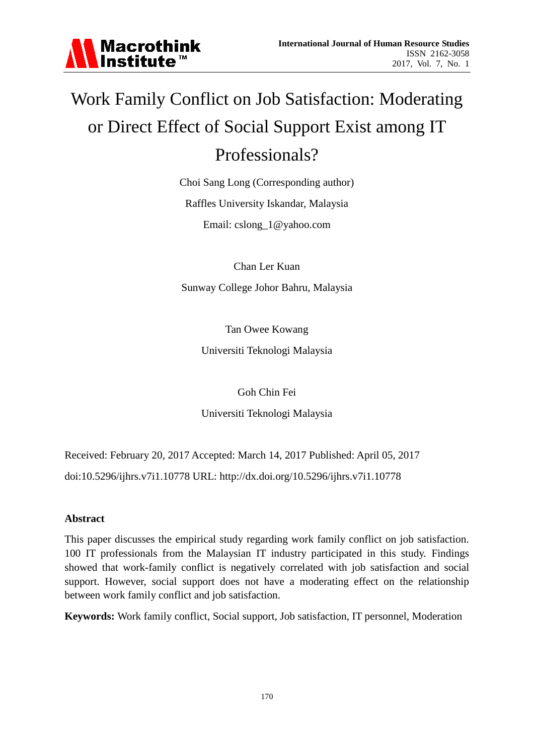

# Work Family Conflict on Job Satisfaction: Moderating or Direct Effect of Social Support Exist among IT Professionals?

Choi Sang Long (Corresponding author) Raffles University Iskandar, Malaysia Email: cslong\_1@yahoo.com

Chan Ler Kuan Sunway College Johor Bahru, Malaysia

> Tan Owee Kowang Universiti Teknologi Malaysia

> Goh Chin Fei Universiti Teknologi Malaysia

Received: February 20, 2017 Accepted: March 14, 2017 Published: April 05, 2017 doi:10.5296/ijhrs.v7i1.10778 URL: http://dx.doi.org/10.5296/ijhrs.v7i1.10778

## **Abstract**

This paper discusses the empirical study regarding work family conflict on job satisfaction. 100 IT professionals from the Malaysian IT industry participated in this study. Findings showed that work-family conflict is negatively correlated with job satisfaction and social support. However, social support does not have a moderating effect on the relationship between work family conflict and job satisfaction.

**Keywords:** Work family conflict, Social support, Job satisfaction, IT personnel, Moderation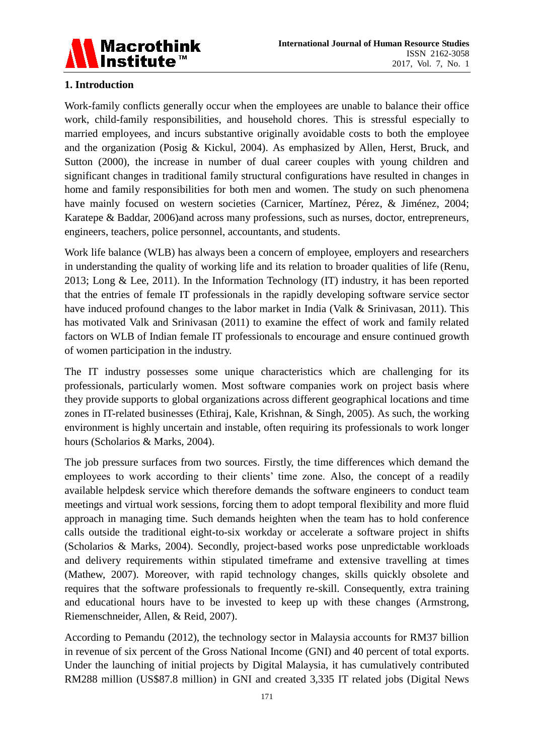

## **1. Introduction**

Work-family conflicts generally occur when the employees are unable to balance their office work, child-family responsibilities, and household chores. This is stressful especially to married employees, and incurs substantive originally avoidable costs to both the employee and the organization (Posig & Kickul, 2004). As emphasized by Allen, Herst, Bruck, and Sutton (2000), the increase in number of dual career couples with young children and significant changes in traditional family structural configurations have resulted in changes in home and family responsibilities for both men and women. The study on such phenomena have mainly focused on western societies (Carnicer, Martínez, Pérez, & Jiménez, 2004; Karatepe & Baddar, 2006)and across many professions, such as nurses, doctor, entrepreneurs, engineers, teachers, police personnel, accountants, and students.

Work life balance (WLB) has always been a concern of employee, employers and researchers in understanding the quality of working life and its relation to broader qualities of life (Renu, 2013; Long & Lee, 2011). In the Information Technology (IT) industry, it has been reported that the entries of female IT professionals in the rapidly developing software service sector have induced profound changes to the labor market in India (Valk & Srinivasan, 2011). This has motivated Valk and Srinivasan (2011) to examine the effect of work and family related factors on WLB of Indian female IT professionals to encourage and ensure continued growth of women participation in the industry.

The IT industry possesses some unique characteristics which are challenging for its professionals, particularly women. Most software companies work on project basis where they provide supports to global organizations across different geographical locations and time zones in IT-related businesses (Ethiraj, Kale, Krishnan, & Singh, 2005). As such, the working environment is highly uncertain and instable, often requiring its professionals to work longer hours (Scholarios & Marks, 2004).

The job pressure surfaces from two sources. Firstly, the time differences which demand the employees to work according to their clients' time zone. Also, the concept of a readily available helpdesk service which therefore demands the software engineers to conduct team meetings and virtual work sessions, forcing them to adopt temporal flexibility and more fluid approach in managing time. Such demands heighten when the team has to hold conference calls outside the traditional eight-to-six workday or accelerate a software project in shifts (Scholarios & Marks, 2004). Secondly, project-based works pose unpredictable workloads and delivery requirements within stipulated timeframe and extensive travelling at times (Mathew, 2007). Moreover, with rapid technology changes, skills quickly obsolete and requires that the software professionals to frequently re-skill. Consequently, extra training and educational hours have to be invested to keep up with these changes (Armstrong, Riemenschneider, Allen, & Reid, 2007).

According to Pemandu (2012), the technology sector in Malaysia accounts for RM37 billion in revenue of six percent of the Gross National Income (GNI) and 40 percent of total exports. Under the launching of initial projects by Digital Malaysia, it has cumulatively contributed RM288 million (US\$87.8 million) in GNI and created 3,335 IT related jobs (Digital News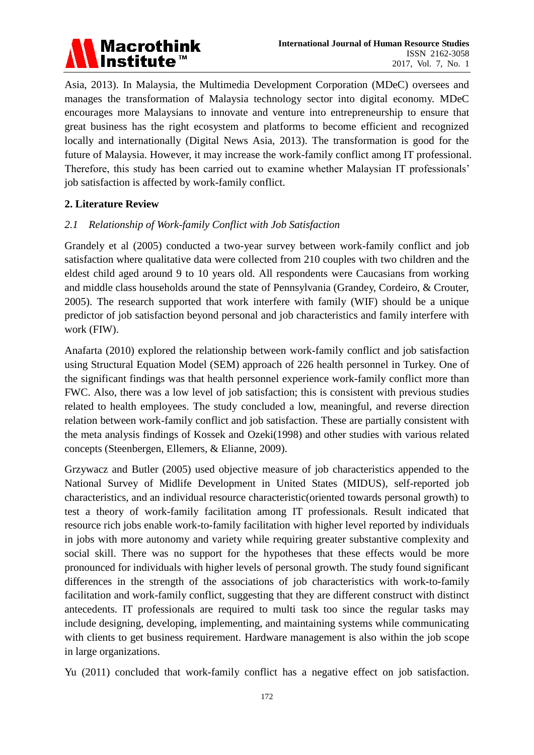

Asia, 2013). In Malaysia, the Multimedia Development Corporation (MDeC) oversees and manages the transformation of Malaysia technology sector into digital economy. MDeC encourages more Malaysians to innovate and venture into entrepreneurship to ensure that great business has the right ecosystem and platforms to become efficient and recognized locally and internationally (Digital News Asia, 2013). The transformation is good for the future of Malaysia. However, it may increase the work-family conflict among IT professional. Therefore, this study has been carried out to examine whether Malaysian IT professionals' job satisfaction is affected by work-family conflict.

## **2. Literature Review**

#### *2.1 Relationship of Work-family Conflict with Job Satisfaction*

Grandely et al (2005) conducted a two-year survey between work-family conflict and job satisfaction where qualitative data were collected from 210 couples with two children and the eldest child aged around 9 to 10 years old. All respondents were Caucasians from working and middle class households around the state of Pennsylvania (Grandey, Cordeiro, & Crouter, 2005). The research supported that work interfere with family (WIF) should be a unique predictor of job satisfaction beyond personal and job characteristics and family interfere with work (FIW).

Anafarta (2010) explored the relationship between work-family conflict and job satisfaction using Structural Equation Model (SEM) approach of 226 health personnel in Turkey. One of the significant findings was that health personnel experience work-family conflict more than FWC. Also, there was a low level of job satisfaction; this is consistent with previous studies related to health employees. The study concluded a low, meaningful, and reverse direction relation between work-family conflict and job satisfaction. These are partially consistent with the meta analysis findings of Kossek and Ozeki(1998) and other studies with various related concepts (Steenbergen, Ellemers, & Elianne, 2009).

Grzywacz and Butler (2005) used objective measure of job characteristics appended to the National Survey of Midlife Development in United States (MIDUS), self-reported job characteristics, and an individual resource characteristic(oriented towards personal growth) to test a theory of work-family facilitation among IT professionals. Result indicated that resource rich jobs enable work-to-family facilitation with higher level reported by individuals in jobs with more autonomy and variety while requiring greater substantive complexity and social skill. There was no support for the hypotheses that these effects would be more pronounced for individuals with higher levels of personal growth. The study found significant differences in the strength of the associations of job characteristics with work-to-family facilitation and work-family conflict, suggesting that they are different construct with distinct antecedents. IT professionals are required to multi task too since the regular tasks may include designing, developing, implementing, and maintaining systems while communicating with clients to get business requirement. Hardware management is also within the job scope in large organizations.

Yu (2011) concluded that work-family conflict has a negative effect on job satisfaction.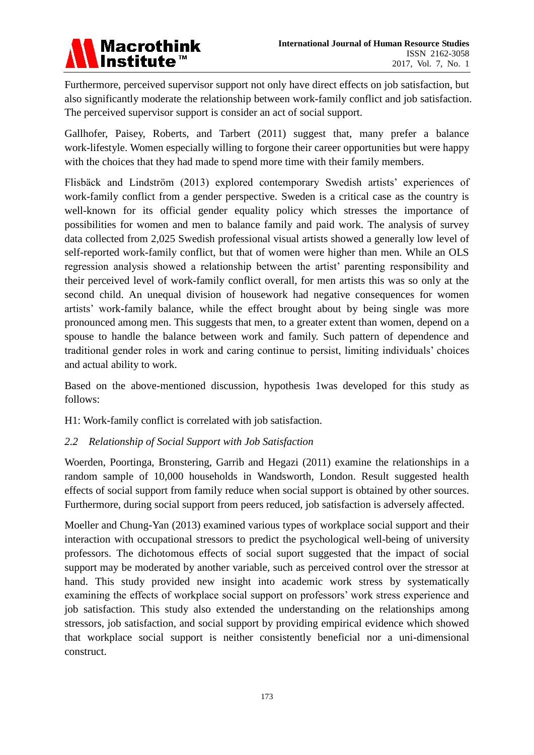

Furthermore, perceived supervisor support not only have direct effects on job satisfaction, but also significantly moderate the relationship between work-family conflict and job satisfaction. The perceived supervisor support is consider an act of social support.

Gallhofer, Paisey, Roberts, and Tarbert (2011) suggest that, many prefer a balance work-lifestyle. Women especially willing to forgone their career opportunities but were happy with the choices that they had made to spend more time with their family members.

Flisbäck and Lindström (2013) explored contemporary Swedish artists' experiences of work-family conflict from a gender perspective. Sweden is a critical case as the country is well-known for its official gender equality policy which stresses the importance of possibilities for women and men to balance family and paid work. The analysis of survey data collected from 2,025 Swedish professional visual artists showed a generally low level of self-reported work-family conflict, but that of women were higher than men. While an OLS regression analysis showed a relationship between the artist' parenting responsibility and their perceived level of work-family conflict overall, for men artists this was so only at the second child. An unequal division of housework had negative consequences for women artists' work-family balance, while the effect brought about by being single was more pronounced among men. This suggests that men, to a greater extent than women, depend on a spouse to handle the balance between work and family. Such pattern of dependence and traditional gender roles in work and caring continue to persist, limiting individuals' choices and actual ability to work.

Based on the above-mentioned discussion, hypothesis 1was developed for this study as follows:

H1: Work-family conflict is correlated with job satisfaction.

## *2.2 Relationship of Social Support with Job Satisfaction*

Woerden, Poortinga, Bronstering, Garrib and Hegazi (2011) examine the relationships in a random sample of 10,000 households in Wandsworth, London. Result suggested health effects of social support from family reduce when social support is obtained by other sources. Furthermore, during social support from peers reduced, job satisfaction is adversely affected.

Moeller and Chung-Yan (2013) examined various types of workplace social support and their interaction with occupational stressors to predict the psychological well-being of university professors. The dichotomous effects of social suport suggested that the impact of social support may be moderated by another variable, such as perceived control over the stressor at hand. This study provided new insight into academic work stress by systematically examining the effects of workplace social support on professors' work stress experience and job satisfaction. This study also extended the understanding on the relationships among stressors, job satisfaction, and social support by providing empirical evidence which showed that workplace social support is neither consistently beneficial nor a uni-dimensional construct.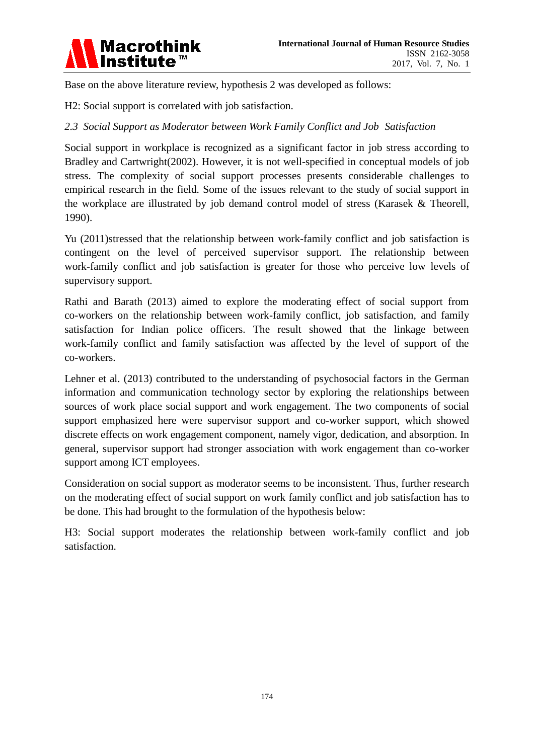

Base on the above literature review, hypothesis 2 was developed as follows:

H2: Social support is correlated with job satisfaction.

## *2.3 Social Support as Moderator between Work Family Conflict and Job Satisfaction*

Social support in workplace is recognized as a significant factor in job stress according to Bradley and Cartwright(2002). However, it is not well-specified in conceptual models of job stress. The complexity of social support processes presents considerable challenges to empirical research in the field. Some of the issues relevant to the study of social support in the workplace are illustrated by job demand control model of stress (Karasek & Theorell, 1990).

Yu (2011)stressed that the relationship between work-family conflict and job satisfaction is contingent on the level of perceived supervisor support. The relationship between work-family conflict and job satisfaction is greater for those who perceive low levels of supervisory support.

Rathi and Barath (2013) aimed to explore the moderating effect of social support from co-workers on the relationship between work-family conflict, job satisfaction, and family satisfaction for Indian police officers. The result showed that the linkage between work-family conflict and family satisfaction was affected by the level of support of the co-workers.

Lehner et al. (2013) contributed to the understanding of psychosocial factors in the German information and communication technology sector by exploring the relationships between sources of work place social support and work engagement. The two components of social support emphasized here were supervisor support and co-worker support, which showed discrete effects on work engagement component, namely vigor, dedication, and absorption. In general, supervisor support had stronger association with work engagement than co-worker support among ICT employees.

Consideration on social support as moderator seems to be inconsistent. Thus, further research on the moderating effect of social support on work family conflict and job satisfaction has to be done. This had brought to the formulation of the hypothesis below:

H3: Social support moderates the relationship between work-family conflict and job satisfaction.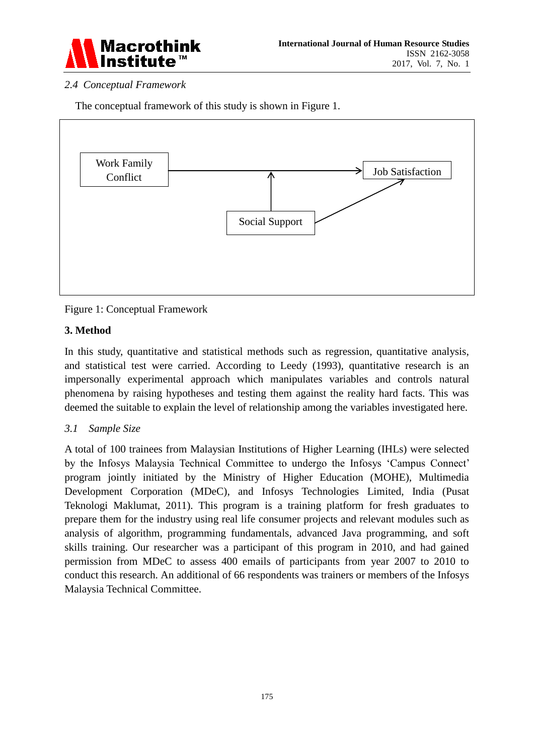

# *2.4 Conceptual Framework*

The conceptual framework of this study is shown in Figure 1.



Figure 1: Conceptual Framework

## **3. Method**

In this study, quantitative and statistical methods such as regression, quantitative analysis, and statistical test were carried. According to Leedy (1993), quantitative research is an impersonally experimental approach which manipulates variables and controls natural phenomena by raising hypotheses and testing them against the reality hard facts. This was deemed the suitable to explain the level of relationship among the variables investigated here.

## *3.1 Sample Size*

A total of 100 trainees from Malaysian Institutions of Higher Learning (IHLs) were selected by the Infosys Malaysia Technical Committee to undergo the Infosys 'Campus Connect' program jointly initiated by the Ministry of Higher Education (MOHE), Multimedia Development Corporation (MDeC), and Infosys Technologies Limited, India (Pusat Teknologi Maklumat, 2011). This program is a training platform for fresh graduates to prepare them for the industry using real life consumer projects and relevant modules such as analysis of algorithm, programming fundamentals, advanced Java programming, and soft skills training. Our researcher was a participant of this program in 2010, and had gained permission from MDeC to assess 400 emails of participants from year 2007 to 2010 to conduct this research. An additional of 66 respondents was trainers or members of the Infosys Malaysia Technical Committee.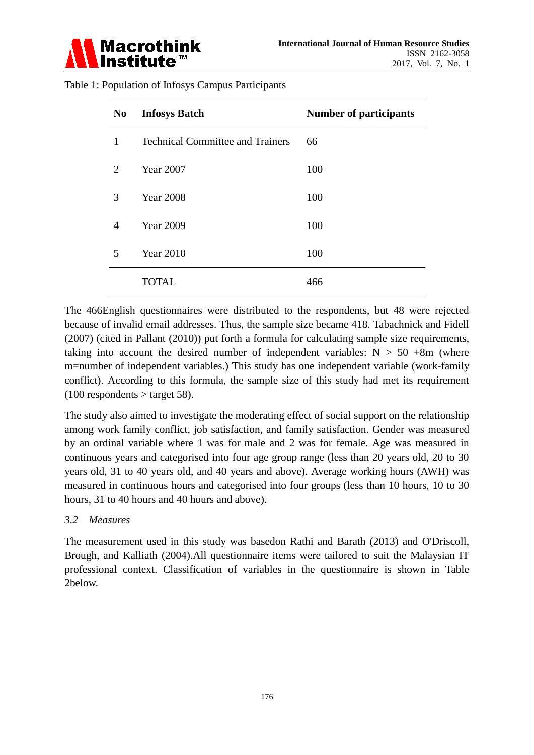

|  |  | Table 1: Population of Infosys Campus Participants |
|--|--|----------------------------------------------------|
|  |  |                                                    |

| N <sub>0</sub> | <b>Infosys Batch</b>                    | <b>Number of participants</b> |
|----------------|-----------------------------------------|-------------------------------|
| 1              | <b>Technical Committee and Trainers</b> | 66                            |
| 2              | Year 2007                               | 100                           |
| 3              | <b>Year 2008</b>                        | 100                           |
| $\overline{4}$ | <b>Year 2009</b>                        | 100                           |
| 5              | <b>Year 2010</b>                        | 100                           |
|                | TOTAL.                                  | 466                           |

The 466English questionnaires were distributed to the respondents, but 48 were rejected because of invalid email addresses. Thus, the sample size became 418. Tabachnick and Fidell (2007) (cited in Pallant (2010)) put forth a formula for calculating sample size requirements, taking into account the desired number of independent variables:  $N > 50 + 8m$  (where m=number of independent variables.) This study has one independent variable (work-family conflict). According to this formula, the sample size of this study had met its requirement  $(100$  respondents  $>$  target 58).

The study also aimed to investigate the moderating effect of social support on the relationship among work family conflict, job satisfaction, and family satisfaction. Gender was measured by an ordinal variable where 1 was for male and 2 was for female. Age was measured in continuous years and categorised into four age group range (less than 20 years old, 20 to 30 years old, 31 to 40 years old, and 40 years and above). Average working hours (AWH) was measured in continuous hours and categorised into four groups (less than 10 hours, 10 to 30 hours, 31 to 40 hours and 40 hours and above).

#### *3.2 Measures*

The measurement used in this study was basedon Rathi and Barath (2013) and O'Driscoll, Brough, and Kalliath (2004).All questionnaire items were tailored to suit the Malaysian IT professional context. Classification of variables in the questionnaire is shown in Table 2below.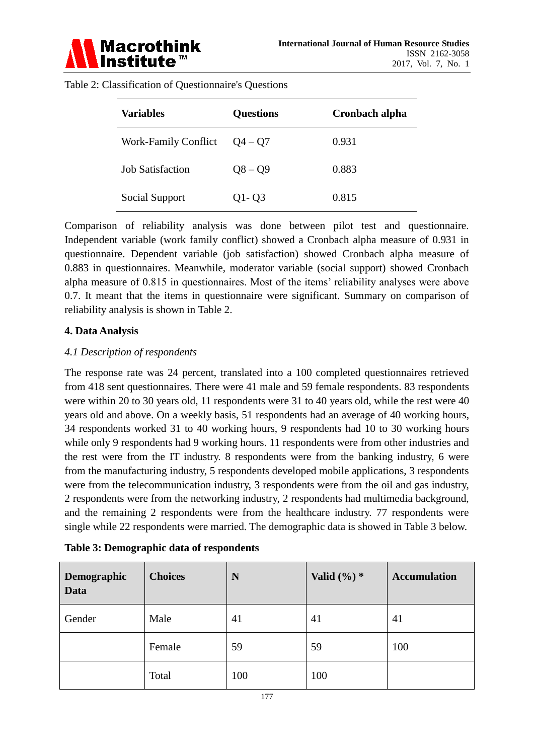

| <b>Variables</b>            | <b>Questions</b> | Cronbach alpha |
|-----------------------------|------------------|----------------|
| <b>Work-Family Conflict</b> | $Q_4 - Q_7$      | 0.931          |
| <b>Job Satisfaction</b>     | $Q8 - Q9$        | 0.883          |
| Social Support              | $Q1 - Q3$        | 0.815          |

Table 2: Classification of Questionnaire's Questions

Comparison of reliability analysis was done between pilot test and questionnaire. Independent variable (work family conflict) showed a Cronbach alpha measure of 0.931 in questionnaire. Dependent variable (job satisfaction) showed Cronbach alpha measure of 0.883 in questionnaires. Meanwhile, moderator variable (social support) showed Cronbach alpha measure of 0.815 in questionnaires. Most of the items' reliability analyses were above 0.7. It meant that the items in questionnaire were significant. Summary on comparison of reliability analysis is shown in Table 2.

## **4. Data Analysis**

## *4.1 Description of respondents*

The response rate was 24 percent, translated into a 100 completed questionnaires retrieved from 418 sent questionnaires. There were 41 male and 59 female respondents. 83 respondents were within 20 to 30 years old, 11 respondents were 31 to 40 years old, while the rest were 40 years old and above. On a weekly basis, 51 respondents had an average of 40 working hours, 34 respondents worked 31 to 40 working hours, 9 respondents had 10 to 30 working hours while only 9 respondents had 9 working hours. 11 respondents were from other industries and the rest were from the IT industry. 8 respondents were from the banking industry, 6 were from the manufacturing industry, 5 respondents developed mobile applications, 3 respondents were from the telecommunication industry, 3 respondents were from the oil and gas industry, 2 respondents were from the networking industry, 2 respondents had multimedia background, and the remaining 2 respondents were from the healthcare industry. 77 respondents were single while 22 respondents were married. The demographic data is showed in Table 3 below.

| Table 3: Demographic data of respondents |  |
|------------------------------------------|--|
|------------------------------------------|--|

| Demographic<br><b>Data</b> | <b>Choices</b> | N   | Valid $(\%)^*$ | <b>Accumulation</b> |
|----------------------------|----------------|-----|----------------|---------------------|
| Gender                     | Male           | 41  | 41             | 41                  |
|                            | Female         | 59  | 59             | 100                 |
|                            | Total          | 100 | 100            |                     |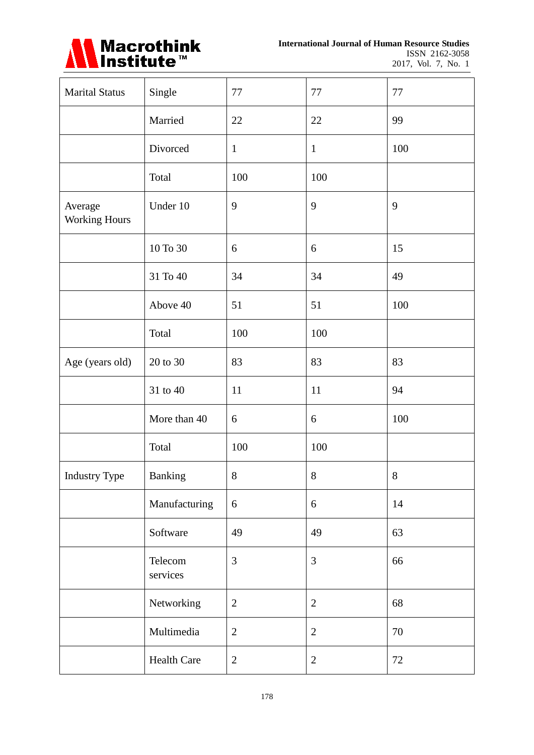

| <b>Marital Status</b>           | Single              | 77             | 77             | 77    |
|---------------------------------|---------------------|----------------|----------------|-------|
|                                 | Married             | 22             | 22             | 99    |
|                                 | Divorced            | $\mathbf{1}$   | $\mathbf{1}$   | 100   |
|                                 | Total               | 100            | 100            |       |
| Average<br><b>Working Hours</b> | Under 10            | 9              | 9              | 9     |
|                                 | $10\ {\rm To}\ 30$  | 6              | 6              | 15    |
|                                 | 31 To 40            | 34             | 34             | 49    |
|                                 | Above 40            | 51             | 51             | 100   |
|                                 | Total               | 100            | 100            |       |
| Age (years old)                 | 20 to 30            | 83             | 83             | 83    |
|                                 | 31 to 40            | 11             | 11             | 94    |
|                                 | More than 40        | 6              | 6              | 100   |
|                                 | Total               | 100            | 100            |       |
| Industry Type                   | Banking             | $8\,$          | $8\,$          | $8\,$ |
|                                 | Manufacturing       | 6              | 6              | 14    |
|                                 | Software            | 49             | 49             | 63    |
|                                 | Telecom<br>services | 3              | 3              | 66    |
|                                 | Networking          | $\mathbf{2}$   | $\overline{2}$ | 68    |
|                                 | Multimedia          | $\overline{2}$ | $\mathbf{2}$   | 70    |
|                                 | <b>Health Care</b>  | $\mathbf{2}$   | $\mathbf{2}$   | 72    |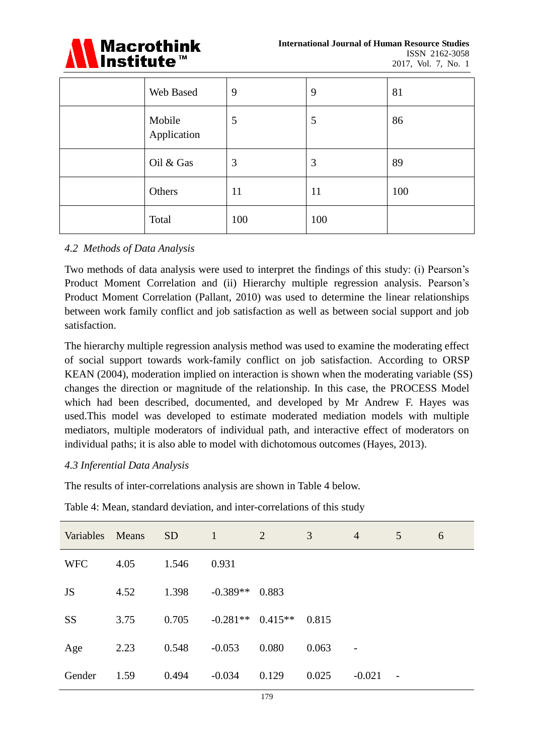

| Web Based             | 9   | 9   | 81  |
|-----------------------|-----|-----|-----|
| Mobile<br>Application | 5   | 5   | 86  |
| Oil & Gas             | 3   | 3   | 89  |
| Others                | 11  | 11  | 100 |
| Total                 | 100 | 100 |     |

## *4.2 Methods of Data Analysis*

Two methods of data analysis were used to interpret the findings of this study: (i) Pearson's Product Moment Correlation and (ii) Hierarchy multiple regression analysis. Pearson's Product Moment Correlation (Pallant, 2010) was used to determine the linear relationships between work family conflict and job satisfaction as well as between social support and job satisfaction.

The hierarchy multiple regression analysis method was used to examine the moderating effect of social support towards work-family conflict on job satisfaction. According to ORSP KEAN (2004), moderation implied on interaction is shown when the moderating variable (SS) changes the direction or magnitude of the relationship. In this case, the PROCESS Model which had been described, documented, and developed by Mr Andrew F. Hayes was used.This model was developed to estimate moderated mediation models with multiple mediators, multiple moderators of individual path, and interactive effect of moderators on individual paths; it is also able to model with dichotomous outcomes (Hayes, 2013).

## *4.3 Inferential Data Analysis*

The results of inter-correlations analysis are shown in Table 4 below.

| Variables Means |      | <b>SD</b> | -1                 | 2     | 3     | $\overline{4}$ | 5      | 6 |
|-----------------|------|-----------|--------------------|-------|-------|----------------|--------|---|
| <b>WFC</b>      | 4.05 | 1.546     | 0.931              |       |       |                |        |   |
| <b>JS</b>       | 4.52 | 1.398     | $-0.389**$         | 0.883 |       |                |        |   |
| <b>SS</b>       | 3.75 | 0.705     | $-0.281**$ 0.415** |       | 0.815 |                |        |   |
| Age             | 2.23 | 0.548     | $-0.053$           | 0.080 | 0.063 |                |        |   |
| Gender          | 1.59 | 0.494     | $-0.034$           | 0.129 | 0.025 | $-0.021$       | $\sim$ |   |

Table 4: Mean, standard deviation, and inter-correlations of this study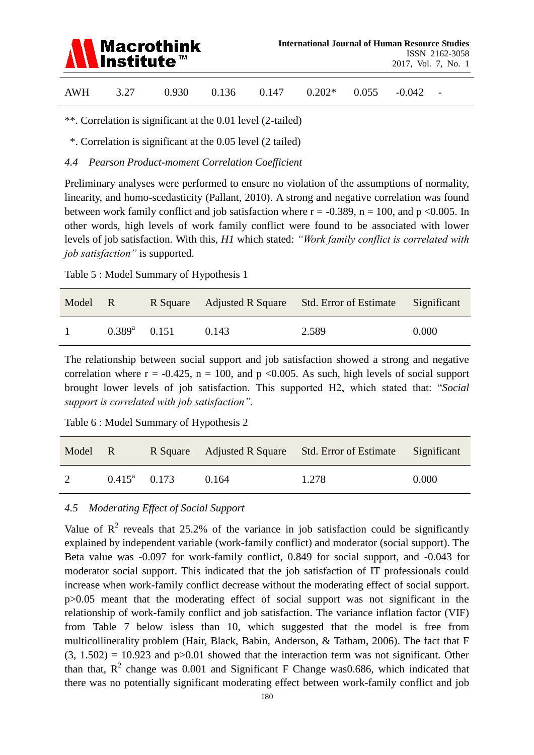

| AWH 3.27 0.930 0.136 0.147 0.202* 0.055 -0.042 - |  |  |  |  |
|--------------------------------------------------|--|--|--|--|
|                                                  |  |  |  |  |

\*\*. Correlation is significant at the 0.01 level (2-tailed)

\*. Correlation is significant at the 0.05 level (2 tailed)

*4.4 Pearson Product-moment Correlation Coefficient*

Preliminary analyses were performed to ensure no violation of the assumptions of normality, linearity, and homo-scedasticity (Pallant, 2010). A strong and negative correlation was found between work family conflict and job satisfaction where  $r = -0.389$ ,  $n = 100$ , and  $p < 0.005$ . In other words, high levels of work family conflict were found to be associated with lower levels of job satisfaction. With this, *H1* which stated: *"Work family conflict is correlated with job satisfaction"* is supported.

Table 5 : Model Summary of Hypothesis 1

| Model R        |                   |       | R Square Adjusted R Square Std. Error of Estimate Significant |       |
|----------------|-------------------|-------|---------------------------------------------------------------|-------|
| $\overline{1}$ | $0.389^a$ $0.151$ | 0.143 | 2.589                                                         | 0.000 |

The relationship between social support and job satisfaction showed a strong and negative correlation where  $r = -0.425$ ,  $n = 100$ , and  $p \le 0.005$ . As such, high levels of social support brought lower levels of job satisfaction. This supported H2, which stated that: "*Social support is correlated with job satisfaction".*

Table 6 : Model Summary of Hypothesis 2

| Model R |                   |       | R Square Adjusted R Square Std. Error of Estimate Significant |       |
|---------|-------------------|-------|---------------------------------------------------------------|-------|
|         | $0.415^a$ $0.173$ | 0.164 | 1.278                                                         | 0.000 |

#### *4.5 Moderating Effect of Social Support*

Value of  $\mathbb{R}^2$  reveals that 25.2% of the variance in job satisfaction could be significantly explained by independent variable (work-family conflict) and moderator (social support). The Beta value was -0.097 for work-family conflict, 0.849 for social support, and -0.043 for moderator social support. This indicated that the job satisfaction of IT professionals could increase when work-family conflict decrease without the moderating effect of social support. p>0.05 meant that the moderating effect of social support was not significant in the relationship of work-family conflict and job satisfaction. The variance inflation factor (VIF) from Table 7 below isless than 10, which suggested that the model is free from multicollinerality problem (Hair, Black, Babin, Anderson, & Tatham, 2006). The fact that F  $(3, 1.502) = 10.923$  and  $p > 0.01$  showed that the interaction term was not significant. Other than that,  $R^2$  change was 0.001 and Significant F Change was0.686, which indicated that there was no potentially significant moderating effect between work-family conflict and job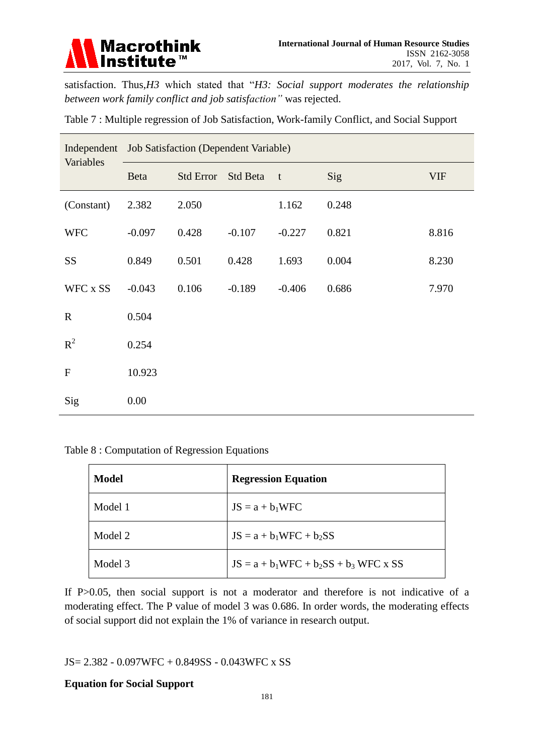

satisfaction. Thus,*H3* which stated that "*H3: Social support moderates the relationship between work family conflict and job satisfaction"* was rejected.

| Variables    | Independent Job Satisfaction (Dependent Variable) |                  |                 |          |       |            |  |  |
|--------------|---------------------------------------------------|------------------|-----------------|----------|-------|------------|--|--|
|              | Beta                                              | <b>Std Error</b> | <b>Std Beta</b> | $-t$     | Sig   | <b>VIF</b> |  |  |
| (Constant)   | 2.382                                             | 2.050            |                 | 1.162    | 0.248 |            |  |  |
| <b>WFC</b>   | $-0.097$                                          | 0.428            | $-0.107$        | $-0.227$ | 0.821 | 8.816      |  |  |
| <b>SS</b>    | 0.849                                             | 0.501            | 0.428           | 1.693    | 0.004 | 8.230      |  |  |
| WFC x SS     | $-0.043$                                          | 0.106            | $-0.189$        | $-0.406$ | 0.686 | 7.970      |  |  |
| $\mathbf R$  | 0.504                                             |                  |                 |          |       |            |  |  |
| $R^2$        | 0.254                                             |                  |                 |          |       |            |  |  |
| $\mathbf{F}$ | 10.923                                            |                  |                 |          |       |            |  |  |
| Sig          | 0.00                                              |                  |                 |          |       |            |  |  |

Table 7 : Multiple regression of Job Satisfaction, Work-family Conflict, and Social Support

#### Table 8 : Computation of Regression Equations

| <b>Model</b> | <b>Regression Equation</b>                   |  |  |
|--------------|----------------------------------------------|--|--|
| Model 1      | $JS = a + b1WFC$                             |  |  |
| Model 2      | $JS = a + b_1WFC + b_2SS$                    |  |  |
| Model 3      | $JS = a + b_1WFC + b_2SS + b_3WFC \times SS$ |  |  |

If P>0.05, then social support is not a moderator and therefore is not indicative of a moderating effect. The P value of model 3 was 0.686. In order words, the moderating effects of social support did not explain the 1% of variance in research output.

JS= 2.382 - 0.097WFC + 0.849SS - 0.043WFC x SS

**Equation for Social Support**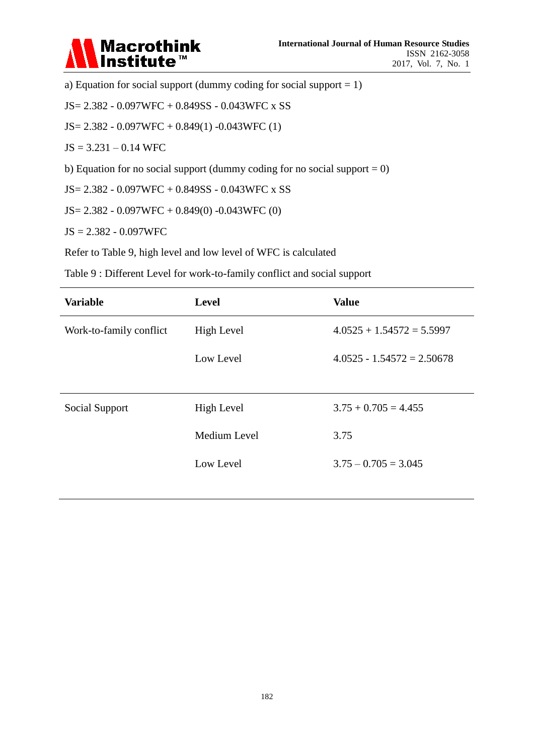

a) Equation for social support (dummy coding for social support  $= 1$ )

JS= 2.382 - 0.097WFC + 0.849SS - 0.043WFC x SS

JS= 2.382 - 0.097WFC + 0.849(1) -0.043WFC (1)

 $JS = 3.231 - 0.14$  WFC

b) Equation for no social support (dummy coding for no social support  $= 0$ )

JS= 2.382 - 0.097WFC + 0.849SS - 0.043WFC x SS

JS= 2.382 - 0.097WFC + 0.849(0) -0.043WFC (0)

JS = 2.382 - 0.097WFC

Refer to Table 9, high level and low level of WFC is calculated

Table 9 : Different Level for work-to-family conflict and social support

| <b>Variable</b>         | <b>Level</b>      | <b>Value</b>                 |  |
|-------------------------|-------------------|------------------------------|--|
| Work-to-family conflict | High Level        | $4.0525 + 1.54572 = 5.5997$  |  |
|                         | Low Level         | $4.0525 - 1.54572 = 2.50678$ |  |
|                         |                   |                              |  |
| Social Support          | <b>High Level</b> | $3.75 + 0.705 = 4.455$       |  |
|                         | Medium Level      | 3.75                         |  |
|                         | Low Level         | $3.75 - 0.705 = 3.045$       |  |
|                         |                   |                              |  |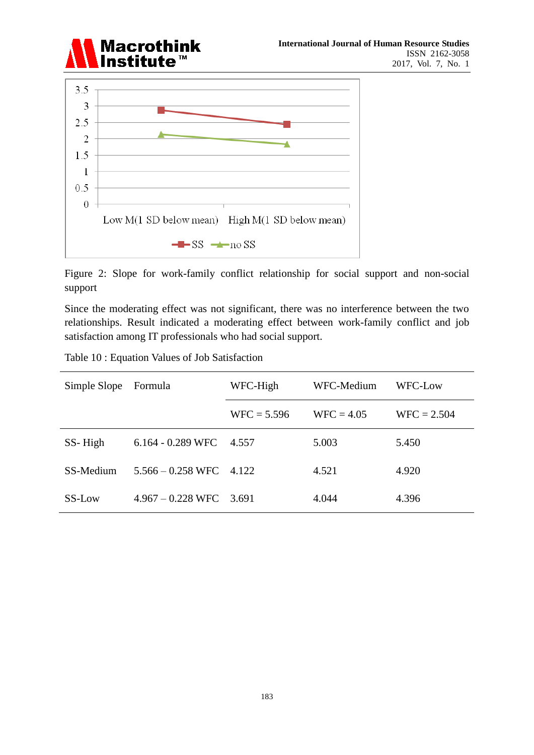



Figure 2: Slope for work-family conflict relationship for social support and non-social support

Since the moderating effect was not significant, there was no interference between the two relationships. Result indicated a moderating effect between work-family conflict and job satisfaction among IT professionals who had social support.

| Table 10 : Equation Values of Job Satisfaction |
|------------------------------------------------|
|------------------------------------------------|

| Simple Slope | Formula                     | WFC-High      | WFC-Medium   | WFC-Low       |
|--------------|-----------------------------|---------------|--------------|---------------|
|              |                             | $WFC = 5.596$ | $WFC = 4.05$ | $WFC = 2.504$ |
| SS-High      | $6.164 - 0.289$ WFC         | 4.557         | 5.003        | 5.450         |
| SS-Medium    | $5.566 - 0.258$ WFC         | 4.122         | 4.521        | 4.920         |
| SS-Low       | $4.967 - 0.228$ WFC $3.691$ |               | 4.044        | 4.396         |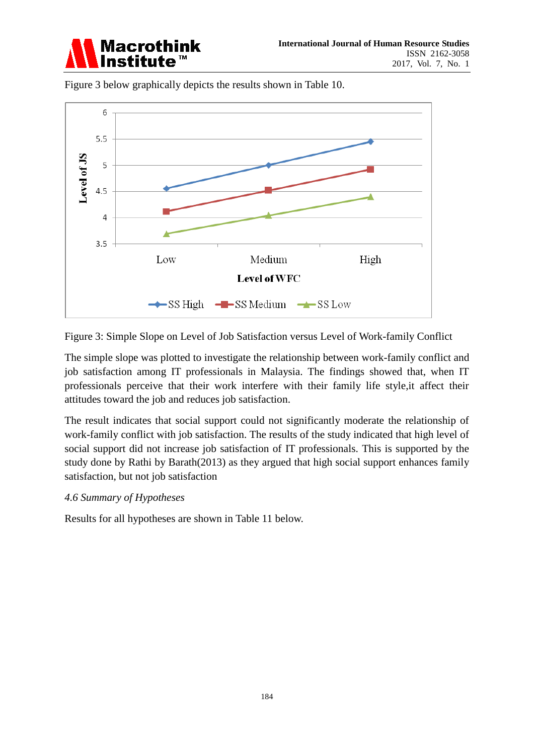





Figure 3: Simple Slope on Level of Job Satisfaction versus Level of Work-family Conflict

The simple slope was plotted to investigate the relationship between work-family conflict and job satisfaction among IT professionals in Malaysia. The findings showed that, when IT professionals perceive that their work interfere with their family life style,it affect their attitudes toward the job and reduces job satisfaction.

The result indicates that social support could not significantly moderate the relationship of work-family conflict with job satisfaction. The results of the study indicated that high level of social support did not increase job satisfaction of IT professionals. This is supported by the study done by Rathi by Barath(2013) as they argued that high social support enhances family satisfaction, but not job satisfaction

## *4.6 Summary of Hypotheses*

Results for all hypotheses are shown in Table 11 below.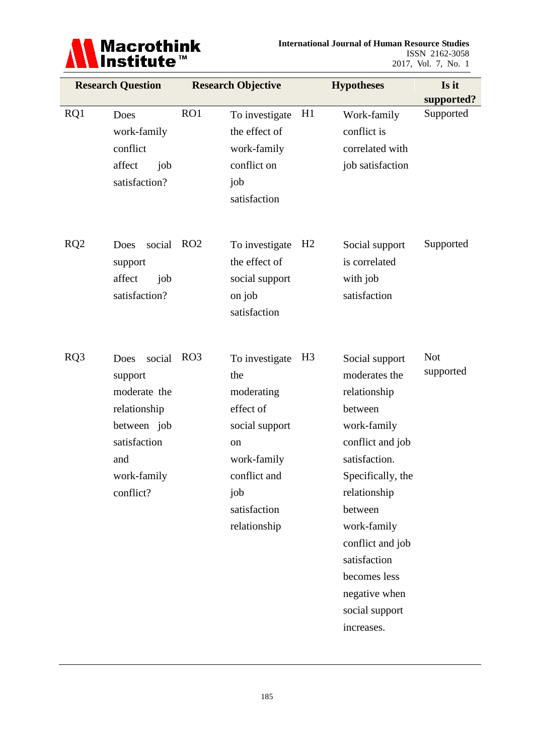

|                 | <b>Research Question</b>                                                                                                    |                 | <b>Research Objective</b>                                                                                                                      |                | <b>Hypotheses</b>                                                                                                                                                                                                                                                                  | Is it                   |
|-----------------|-----------------------------------------------------------------------------------------------------------------------------|-----------------|------------------------------------------------------------------------------------------------------------------------------------------------|----------------|------------------------------------------------------------------------------------------------------------------------------------------------------------------------------------------------------------------------------------------------------------------------------------|-------------------------|
|                 |                                                                                                                             |                 |                                                                                                                                                |                |                                                                                                                                                                                                                                                                                    | supported?              |
| RQ1             | Does<br>work-family<br>conflict<br>affect<br>job<br>satisfaction?                                                           | RO1             | To investigate<br>the effect of<br>work-family<br>conflict on<br>job<br>satisfaction                                                           | H1             | Work-family<br>conflict is<br>correlated with<br>job satisfaction                                                                                                                                                                                                                  | Supported               |
| RQ <sub>2</sub> | social<br>Does<br>support<br>affect<br>job<br>satisfaction?                                                                 | RO2             | To investigate<br>the effect of<br>social support<br>on job<br>satisfaction                                                                    | H2             | Social support<br>is correlated<br>with job<br>satisfaction                                                                                                                                                                                                                        | Supported               |
| RQ3             | social<br>Does<br>support<br>moderate the<br>relationship<br>between job<br>satisfaction<br>and<br>work-family<br>conflict? | RO <sub>3</sub> | To investigate<br>the<br>moderating<br>effect of<br>social support<br>on<br>work-family<br>conflict and<br>job<br>satisfaction<br>relationship | H <sub>3</sub> | Social support<br>moderates the<br>relationship<br>between<br>work-family<br>conflict and job<br>satisfaction.<br>Specifically, the<br>relationship<br>between<br>work-family<br>conflict and job<br>satisfaction<br>becomes less<br>negative when<br>social support<br>increases. | <b>Not</b><br>supported |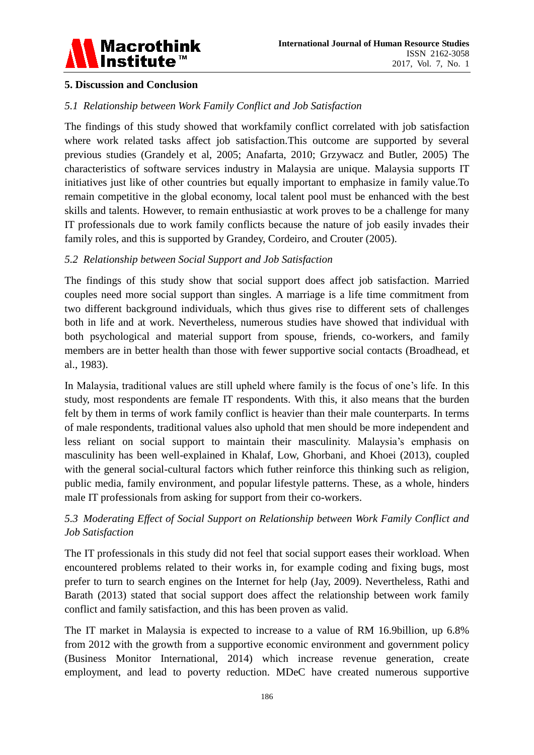

## **5. Discussion and Conclusion**

# *5.1 Relationship between Work Family Conflict and Job Satisfaction*

The findings of this study showed that workfamily conflict correlated with job satisfaction where work related tasks affect job satisfaction.This outcome are supported by several previous studies (Grandely et al, 2005; Anafarta, 2010; Grzywacz and Butler, 2005) The characteristics of software services industry in Malaysia are unique. Malaysia supports IT initiatives just like of other countries but equally important to emphasize in family value.To remain competitive in the global economy, local talent pool must be enhanced with the best skills and talents. However, to remain enthusiastic at work proves to be a challenge for many IT professionals due to work family conflicts because the nature of job easily invades their family roles, and this is supported by Grandey, Cordeiro, and Crouter (2005).

## *5.2 Relationship between Social Support and Job Satisfaction*

The findings of this study show that social support does affect job satisfaction. Married couples need more social support than singles. A marriage is a life time commitment from two different background individuals, which thus gives rise to different sets of challenges both in life and at work. Nevertheless, numerous studies have showed that individual with both psychological and material support from spouse, friends, co-workers, and family members are in better health than those with fewer supportive social contacts (Broadhead, et al., 1983).

In Malaysia, traditional values are still upheld where family is the focus of one's life. In this study, most respondents are female IT respondents. With this, it also means that the burden felt by them in terms of work family conflict is heavier than their male counterparts. In terms of male respondents, traditional values also uphold that men should be more independent and less reliant on social support to maintain their masculinity. Malaysia's emphasis on masculinity has been well-explained in Khalaf, Low, Ghorbani, and Khoei (2013), coupled with the general social-cultural factors which futher reinforce this thinking such as religion, public media, family environment, and popular lifestyle patterns. These, as a whole, hinders male IT professionals from asking for support from their co-workers.

# *5.3 Moderating Effect of Social Support on Relationship between Work Family Conflict and Job Satisfaction*

The IT professionals in this study did not feel that social support eases their workload. When encountered problems related to their works in, for example coding and fixing bugs, most prefer to turn to search engines on the Internet for help (Jay, 2009). Nevertheless, Rathi and Barath (2013) stated that social support does affect the relationship between work family conflict and family satisfaction, and this has been proven as valid.

The IT market in Malaysia is expected to increase to a value of RM 16.9billion, up 6.8% from 2012 with the growth from a supportive economic environment and government policy (Business Monitor International, 2014) which increase revenue generation, create employment, and lead to poverty reduction. MDeC have created numerous supportive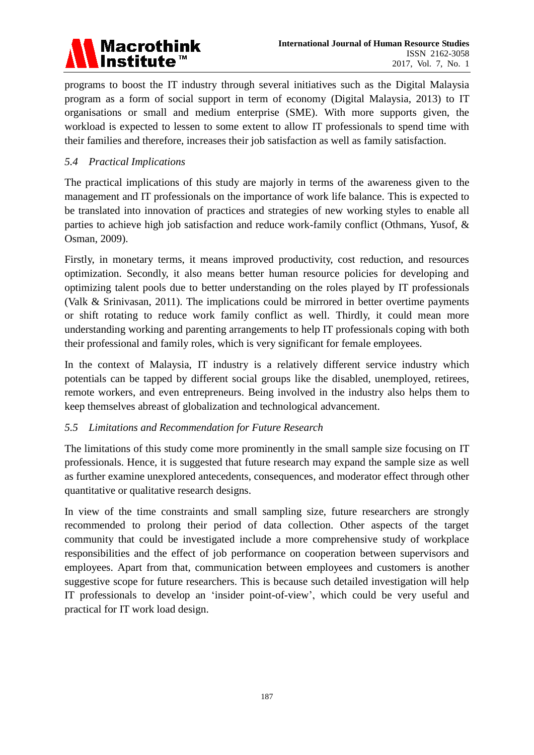

programs to boost the IT industry through several initiatives such as the Digital Malaysia program as a form of social support in term of economy (Digital Malaysia, 2013) to IT organisations or small and medium enterprise (SME). With more supports given, the workload is expected to lessen to some extent to allow IT professionals to spend time with their families and therefore, increases their job satisfaction as well as family satisfaction.

#### *5.4 Practical Implications*

The practical implications of this study are majorly in terms of the awareness given to the management and IT professionals on the importance of work life balance. This is expected to be translated into innovation of practices and strategies of new working styles to enable all parties to achieve high job satisfaction and reduce work-family conflict (Othmans, Yusof, & Osman, 2009).

Firstly, in monetary terms, it means improved productivity, cost reduction, and resources optimization. Secondly, it also means better human resource policies for developing and optimizing talent pools due to better understanding on the roles played by IT professionals (Valk & Srinivasan, 2011). The implications could be mirrored in better overtime payments or shift rotating to reduce work family conflict as well. Thirdly, it could mean more understanding working and parenting arrangements to help IT professionals coping with both their professional and family roles, which is very significant for female employees.

In the context of Malaysia, IT industry is a relatively different service industry which potentials can be tapped by different social groups like the disabled, unemployed, retirees, remote workers, and even entrepreneurs. Being involved in the industry also helps them to keep themselves abreast of globalization and technological advancement.

## *5.5 Limitations and Recommendation for Future Research*

The limitations of this study come more prominently in the small sample size focusing on IT professionals. Hence, it is suggested that future research may expand the sample size as well as further examine unexplored antecedents, consequences, and moderator effect through other quantitative or qualitative research designs.

In view of the time constraints and small sampling size, future researchers are strongly recommended to prolong their period of data collection. Other aspects of the target community that could be investigated include a more comprehensive study of workplace responsibilities and the effect of job performance on cooperation between supervisors and employees. Apart from that, communication between employees and customers is another suggestive scope for future researchers. This is because such detailed investigation will help IT professionals to develop an 'insider point-of-view', which could be very useful and practical for IT work load design.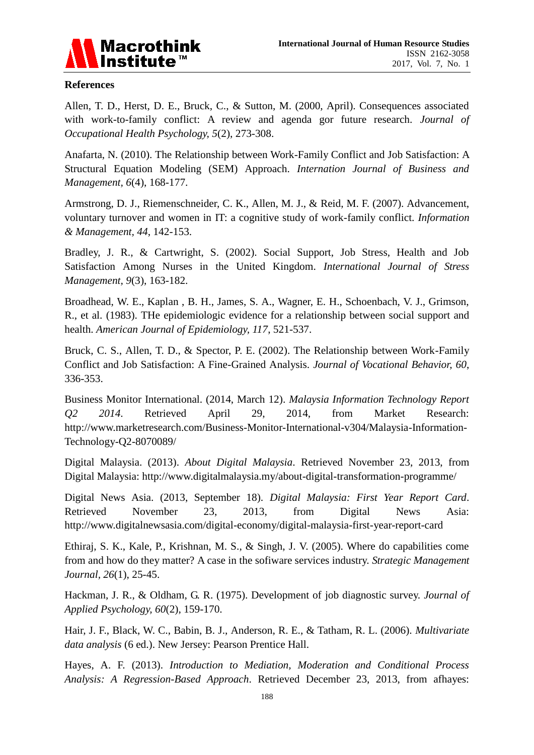

#### **References**

Allen, T. D., Herst, D. E., Bruck, C., & Sutton, M. (2000, April). Consequences associated with work-to-family conflict: A review and agenda gor future research. *Journal of Occupational Health Psychology, 5*(2), 273-308.

Anafarta, N. (2010). The Relationship between Work-Family Conflict and Job Satisfaction: A Structural Equation Modeling (SEM) Approach. *Internation Journal of Business and Management, 6*(4), 168-177.

Armstrong, D. J., Riemenschneider, C. K., Allen, M. J., & Reid, M. F. (2007). Advancement, voluntary turnover and women in IT: a cognitive study of work-family conflict. *Information & Management, 44*, 142-153.

Bradley, J. R., & Cartwright, S. (2002). Social Support, Job Stress, Health and Job Satisfaction Among Nurses in the United Kingdom. *International Journal of Stress Management, 9*(3), 163-182.

Broadhead, W. E., Kaplan , B. H., James, S. A., Wagner, E. H., Schoenbach, V. J., Grimson, R., et al. (1983). THe epidemiologic evidence for a relationship between social support and health. *American Journal of Epidemiology, 117*, 521-537.

Bruck, C. S., Allen, T. D., & Spector, P. E. (2002). The Relationship between Work-Family Conflict and Job Satisfaction: A Fine-Grained Analysis. *Journal of Vocational Behavior, 60*, 336-353.

Business Monitor International. (2014, March 12). *Malaysia Information Technology Report Q2 2014*. Retrieved April 29, 2014, from Market Research: http://www.marketresearch.com/Business-Monitor-International-v304/Malaysia-Information-Technology-Q2-8070089/

Digital Malaysia. (2013). *About Digital Malaysia*. Retrieved November 23, 2013, from Digital Malaysia: http://www.digitalmalaysia.my/about-digital-transformation-programme/

Digital News Asia. (2013, September 18). *Digital Malaysia: First Year Report Card*. Retrieved November 23, 2013, from Digital News Asia: http://www.digitalnewsasia.com/digital-economy/digital-malaysia-first-year-report-card

Ethiraj, S. K., Kale, P., Krishnan, M. S., & Singh, J. V. (2005). Where do capabilities come from and how do they matter? A case in the sofiware services industry. *Strategic Management Journal, 26*(1), 25-45.

Hackman, J. R., & Oldham, G. R. (1975). Development of job diagnostic survey. *Journal of Applied Psychology, 60*(2), 159-170.

Hair, J. F., Black, W. C., Babin, B. J., Anderson, R. E., & Tatham, R. L. (2006). *Multivariate data analysis* (6 ed.). New Jersey: Pearson Prentice Hall.

Hayes, A. F. (2013). *Introduction to Mediation, Moderation and Conditional Process Analysis: A Regression-Based Approach*. Retrieved December 23, 2013, from afhayes: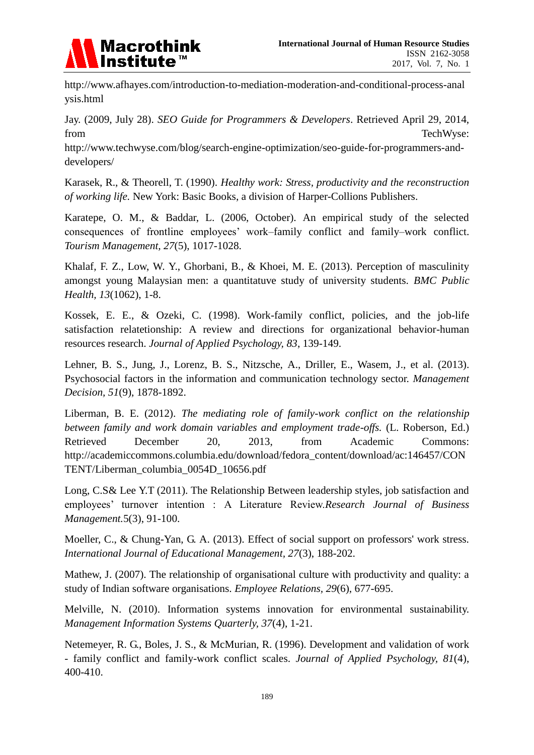

http://www.afhayes.com/introduction-to-mediation-moderation-and-conditional-process-anal ysis.html

Jay. (2009, July 28). *SEO Guide for Programmers & Developers*. Retrieved April 29, 2014, from Tech Wyse:

http://www.techwyse.com/blog/search-engine-optimization/seo-guide-for-programmers-anddevelopers/

Karasek, R., & Theorell, T. (1990). *Healthy work: Stress, productivity and the reconstruction of working life.* New York: Basic Books, a division of Harper-Collions Publishers.

Karatepe, O. M., & Baddar, L. (2006, October). An empirical study of the selected consequences of frontline employees' work–family conflict and family–work conflict. *Tourism Management, 27*(5), 1017-1028.

Khalaf, F. Z., Low, W. Y., Ghorbani, B., & Khoei, M. E. (2013). Perception of masculinity amongst young Malaysian men: a quantitatuve study of university students. *BMC Public Health, 13*(1062), 1-8.

Kossek, E. E., & Ozeki, C. (1998). Work-family conflict, policies, and the job-life satisfaction relatetionship: A review and directions for organizational behavior-human resources research. *Journal of Applied Psychology, 83*, 139-149.

Lehner, B. S., Jung, J., Lorenz, B. S., Nitzsche, A., Driller, E., Wasem, J., et al. (2013). Psychosocial factors in the information and communication technology sector. *Management Decision, 51*(9), 1878-1892.

Liberman, B. E. (2012). *The mediating role of family-work conflict on the relationship between family and work domain variables and employment trade-offs.* (L. Roberson, Ed.) Retrieved December 20, 2013, from Academic Commons: http://academiccommons.columbia.edu/download/fedora\_content/download/ac:146457/CON TENT/Liberman\_columbia\_0054D\_10656.pdf

Long, C.S& Lee Y.T (2011). The Relationship Between leadership styles, job satisfaction and employees' turnover intention : A Literature Review.*Research Journal of Business Management.*5(3), 91-100.

Moeller, C., & Chung-Yan, G. A. (2013). Effect of social support on professors' work stress. *International Journal of Educational Management, 27*(3), 188-202.

Mathew, J. (2007). The relationship of organisational culture with productivity and quality: a study of Indian software organisations. *Employee Relations, 29*(6), 677-695.

Melville, N. (2010). Information systems innovation for environmental sustainability. *Management Information Systems Quarterly, 37*(4), 1-21.

Netemeyer, R. G., Boles, J. S., & McMurian, R. (1996). Development and validation of work - family conflict and family-work conflict scales. *Journal of Applied Psychology, 81*(4), 400-410.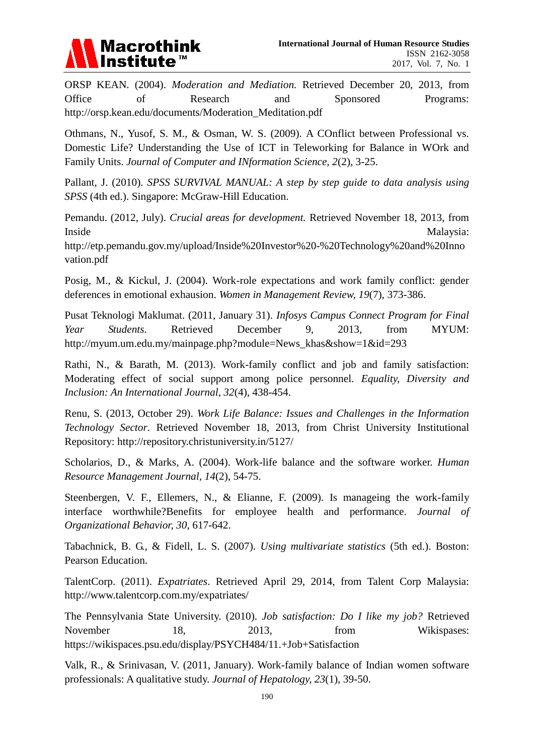

ORSP KEAN. (2004). *Moderation and Mediation.* Retrieved December 20, 2013, from Office of Research and Sponsored Programs: http://orsp.kean.edu/documents/Moderation\_Meditation.pdf

Othmans, N., Yusof, S. M., & Osman, W. S. (2009). A COnflict between Professional vs. Domestic Life? Understanding the Use of ICT in Teleworking for Balance in WOrk and Family Units. *Journal of Computer and INformation Science, 2*(2), 3-25.

Pallant, J. (2010). *SPSS SURVIVAL MANUAL: A step by step guide to data analysis using SPSS* (4th ed.). Singapore: McGraw-Hill Education.

Pemandu. (2012, July). *Crucial areas for development.* Retrieved November 18, 2013, from Inside Malaysia: http://etp.pemandu.gov.my/upload/Inside%20Investor%20-%20Technology%20and%20Inno vation.pdf

Posig, M., & Kickul, J. (2004). Work-role expectations and work family conflict: gender deferences in emotional exhausion. *Women in Management Review, 19*(7), 373-386.

Pusat Teknologi Maklumat. (2011, January 31). *Infosys Campus Connect Program for Final Year Students*. Retrieved December 9, 2013, from MYUM: http://myum.um.edu.my/mainpage.php?module=News\_khas&show=1&id=293

Rathi, N., & Barath, M. (2013). Work-family conflict and job and family satisfaction: Moderating effect of social support among police personnel. *Equality, Diversity and Inclusion: An International Journal, 32*(4), 438-454.

Renu, S. (2013, October 29). *Work Life Balance: Issues and Challenges in the Information Technology Sector*. Retrieved November 18, 2013, from Christ University Institutional Repository: http://repository.christuniversity.in/5127/

Scholarios, D., & Marks, A. (2004). Work-life balance and the software worker. *Human Resource Management Journal, 14*(2), 54-75.

Steenbergen, V. F., Ellemers, N., & Elianne, F. (2009). Is manageing the work-family interface worthwhile?Benefits for employee health and performance. *Journal of Organizational Behavior, 30*, 617-642.

Tabachnick, B. G., & Fidell, L. S. (2007). *Using multivariate statistics* (5th ed.). Boston: Pearson Education.

TalentCorp. (2011). *Expatriates*. Retrieved April 29, 2014, from Talent Corp Malaysia: http://www.talentcorp.com.my/expatriates/

The Pennsylvania State University. (2010). *Job satisfaction: Do I like my job?* Retrieved November 18, 2013, from Wikispases: https://wikispaces.psu.edu/display/PSYCH484/11.+Job+Satisfaction

Valk, R., & Srinivasan, V. (2011, January). Work-family balance of Indian women software professionals: A qualitative study. *Journal of Hepatology, 23*(1), 39-50.